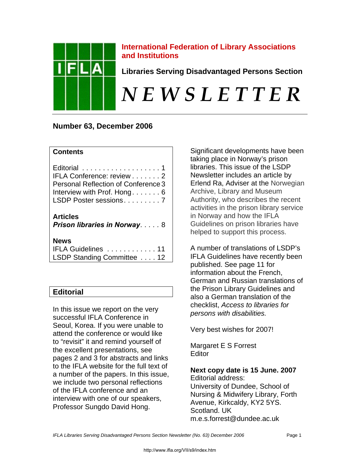

**International Federation of Library Associations and Institutions** 

**Libraries Serving Disadvantaged Persons Section** 

# *N E W S L E T T E R*

# **Number 63, December 2006**

# **Contents**

| Editorial 1                                            |
|--------------------------------------------------------|
| IFLA Conference: review 2                              |
| <b>Personal Reflection of Conference 3</b>             |
| Interview with Prof. Hong 6                            |
| LSDP Poster sessions7                                  |
| <b>Articles</b><br><b>Prison libraries in Norway 8</b> |
| <b>News</b>                                            |
| IFLA Guidelines 11                                     |
| LSDP Standing Committee  12                            |

# **Editorial**

In this issue we report on the very successful IFLA Conference in Seoul, Korea. If you were unable to attend the conference or would like to "revisit" it and remind yourself of the excellent presentations, see pages 2 and 3 for abstracts and links to the IFLA website for the full text of a number of the papers. In this issue, we include two personal reflections of the IFLA conference and an interview with one of our speakers, Professor Sungdo David Hong.

Significant developments have been taking place in Norway's prison libraries. This issue of the LSDP Newsletter includes an article by Erlend Ra, Adviser at the Norwegian Archive, Library and Museum Authority, who describes the recent activities in the prison library service in Norway and how the IFLA Guidelines on prison libraries have helped to support this process.

A number of translations of LSDP's IFLA Guidelines have recently been published. See page 11 for information about the French, German and Russian translations of the Prison Library Guidelines and also a German translation of the checklist, *Access to libraries for persons with disabilities.*

Very best wishes for 2007!

Margaret E S Forrest **Editor** 

**Next copy date is 15 June. 2007**  Editorial address: University of Dundee, School of Nursing & Midwifery Library, Forth Avenue, Kirkcaldy, KY2 5YS. Scotland. UK m.e.s.[forrest@dundee.ac.uk](mailto:forrest@dundee.ac.uk)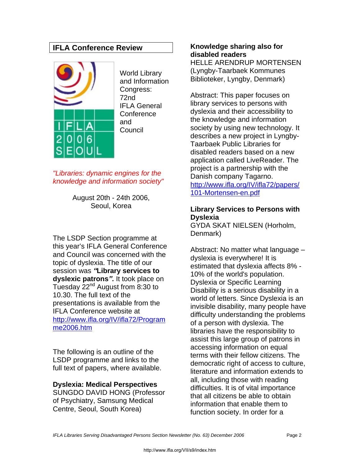# **IFLA Conference Review**



World Library and Information Congress: 72nd IFLA General **Conference** and Council

*"Libraries: dynamic engines for the knowledge and information society"* 

> August 20th - 24th 2006, Seoul, Korea

The LSDP Section programme at this year's IFLA General Conference and Council was concerned with the topic of dyslexia. The title of our session was *"***Library services to dyslexic patrons***".* It took place on Tuesday 22<sup>nd</sup> August from 8:30 to 10.30. The full text of the presentations is available from the IFLA Conference website at [http://www.ifla.org/IV/ifla72/Program](http://www.ifla.org/IV/ifla72/Programme2006.htm) [me2006.htm](http://www.ifla.org/IV/ifla72/Programme2006.htm)

The following is an outline of the LSDP programme and links to the full text of papers, where available.

# **Dyslexia: Medical Perspectives**

SUNGDO DAVID HONG (Professor of Psychiatry, Samsung Medical Centre, Seoul, South Korea)

# **Knowledge sharing also for disabled readers**

HELLE ARENDRUP MORTENSEN (Lyngby-Taarbaek Kommunes Biblioteker, Lyngby, Denmark)

Abstract: This paper focuses on library services to persons with dyslexia and their accessibility to the knowledge and information society by using new technology. It describes a new project in Lyngby-Taarbaek Public Libraries for disabled readers based on a new application called LiveReader. The project is a partnership with the Danish company Tagarno. [http://www.ifla.org/IV/ifla72/papers/](http://www.ifla.org/IV/ifla72/papers/101-Mortensen-en.pdf)

[101-Mortensen-en.pdf](http://www.ifla.org/IV/ifla72/papers/101-Mortensen-en.pdf)

# **Library Services to Persons with Dyslexia**

GYDA SKAT NIELSEN (Horholm, Denmark)

Abstract: No matter what language – dyslexia is everywhere! It is estimated that dyslexia affects 8% - 10% of the world's population. Dyslexia or Specific Learning Disability is a serious disability in a world of letters. Since Dyslexia is an invisible disability, many people have difficulty understanding the problems of a person with dyslexia. The libraries have the responsibility to assist this large group of patrons in accessing information on equal terms with their fellow citizens. The democratic right of access to culture, literature and information extends to all, including those with reading difficulties. It is of vital importance that all citizens be able to obtain information that enable them to function society. In order for a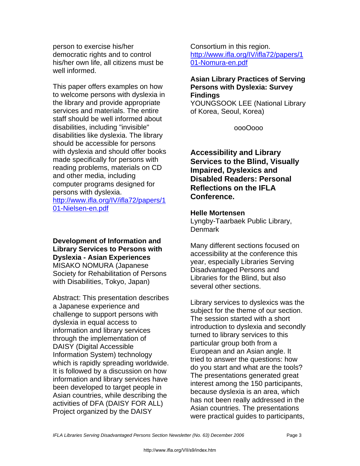person to exercise his/her democratic rights and to control his/her own life, all citizens must be well informed.

This paper offers examples on how to welcome persons with dyslexia in the library and provide appropriate services and materials. The entire staff should be well informed about disabilities, including "invisible" disabilities like dyslexia. The library should be accessible for persons with dyslexia and should offer books made specifically for persons with reading problems, materials on CD and other media, including computer programs designed for persons with dyslexia. [http://www.ifla.org/IV/ifla72/papers/1](http://www.ifla.org/IV/ifla72/papers/101-Nielsen-en.pdf) [01-Nielsen-en.pdf](http://www.ifla.org/IV/ifla72/papers/101-Nielsen-en.pdf)

**Development of Information and Library Services to Persons with Dyslexia - Asian Experiences** MISAKO NOMURA (Japanese Society for Rehabilitation of Persons with Disabilities, Tokyo, Japan)

Abstract: This presentation describes a Japanese experience and challenge to support persons with dyslexia in equal access to information and library services through the implementation of DAISY (Digital Accessible Information System) technology which is rapidly spreading worldwide. It is followed by a discussion on how information and library services have been developed to target people in Asian countries, while describing the activities of DFA (DAISY FOR ALL) Project organized by the DAISY

Consortium in this region. [http://www.ifla.org/IV/ifla72/papers/1](http://www.ifla.org/IV/ifla72/papers/101-Nomura-en.pdf) [01-Nomura-en.pdf](http://www.ifla.org/IV/ifla72/papers/101-Nomura-en.pdf)

# **Asian Library Practices of Serving Persons with Dyslexia: Survey Findings**  YOUNGSOOK LEE (National Library

of Korea, Seoul, Korea)

oooOooo

**Accessibility and Library Services to the Blind, Visually Impaired, Dyslexics and Disabled Readers: Personal Reflections on the IFLA Conference.** 

# **Helle Mortensen**

Lyngby-Taarbaek Public Library, **Denmark** 

Many different sections focused on accessibility at the conference this year, especially Libraries Serving Disadvantaged Persons and Libraries for the Blind, but also several other sections.

Library services to dyslexics was the subject for the theme of our section. The session started with a short introduction to dyslexia and secondly turned to library services to this particular group both from a European and an Asian angle. It tried to answer the questions: how do you start and what are the tools? The presentations generated great interest among the 150 participants, because dyslexia is an area, which has not been really addressed in the Asian countries. The presentations were practical guides to participants,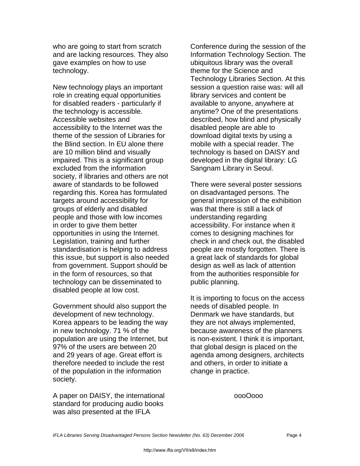who are going to start from scratch and are lacking resources. They also gave examples on how to use technology.

New technology plays an important role in creating equal opportunities for disabled readers - particularly if the technology is accessible. Accessible websites and accessibility to the Internet was the theme of the session of Libraries for the Blind section. In EU alone there are 10 million blind and visually impaired. This is a significant group excluded from the information society, if libraries and others are not aware of standards to be followed regarding this. Korea has formulated targets around accessibility for groups of elderly and disabled people and those with low incomes in order to give them better opportunities in using the Internet. Legislation, training and further standardisation is helping to address this issue, but support is also needed from government. Support should be in the form of resources, so that technology can be disseminated to disabled people at low cost.

Government should also support the development of new technology. Korea appears to be leading the way in new technology. 71 % of the population are using the Internet, but 97% of the users are between 20 and 29 years of age. Great effort is therefore needed to include the rest of the population in the information society.

A paper on DAISY, the international standard for producing audio books was also presented at the IFLA

Conference during the session of the Information Technology Section. The ubiquitous library was the overall theme for the Science and Technology Libraries Section. At this session a question raise was: will all library services and content be available to anyone, anywhere at anytime? One of the presentations described, how blind and physically disabled people are able to download digital texts by using a mobile with a special reader. The technology is based on DAISY and developed in the digital library: LG Sangnam Library in Seoul.

There were several poster sessions on disadvantaged persons. The general impression of the exhibition was that there is still a lack of understanding regarding accessibility. For instance when it comes to designing machines for check in and check out, the disabled people are mostly forgotten. There is a great lack of standards for global design as well as lack of attention from the authorities responsible for public planning.

It is importing to focus on the access needs of disabled people. In Denmark we have standards, but they are not always implemented, because awareness of the planners is non-existent. I think it is important, that global design is placed on the agenda among designers, architects and others, in order to initiate a change in practice.

oooOooo

*IFLA Libraries Serving Disadvantaged Persons Section Newsletter (No. 63) December 2006* Page 4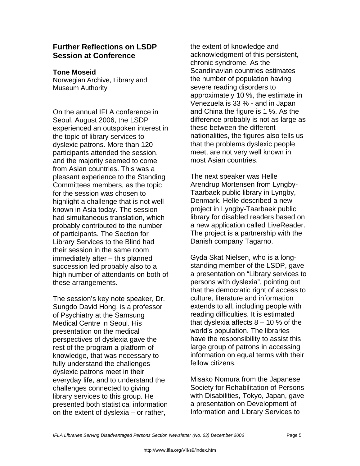# **Further Reflections on LSDP Session at Conference**

# **Tone Moseid**

Norwegian Archive, Library and Museum Authority

On the annual IFLA conference in Seoul, August 2006, the LSDP experienced an outspoken interest in the topic of library services to dyslexic patrons. More than 120 participants attended the session, and the majority seemed to come from Asian countries. This was a pleasant experience to the Standing Committees members, as the topic for the session was chosen to highlight a challenge that is not well known in Asia today. The session had simultaneous translation, which probably contributed to the number of participants. The Section for Library Services to the Blind had their session in the same room immediately after – this planned succession led probably also to a high number of attendants on both of these arrangements.

The session's key note speaker, Dr. Sungdo David Hong, is a professor of Psychiatry at the Samsung Medical Centre in Seoul. His presentation on the medical perspectives of dyslexia gave the rest of the program a platform of knowledge, that was necessary to fully understand the challenges dyslexic patrons meet in their everyday life, and to understand the challenges connected to giving library services to this group. He presented both statistical information on the extent of dyslexia – or rather,

the extent of knowledge and acknowledgment of this persistent, chronic syndrome. As the Scandinavian countries estimates the number of population having severe reading disorders to approximately 10 %, the estimate in Venezuela is 33 % - and in Japan and China the figure is 1 %. As the difference probably is not as large as these between the different nationalities, the figures also tells us that the problems dyslexic people meet, are not very well known in most Asian countries.

The next speaker was Helle Arendrup Mortensen from Lyngby-Taarbaek public library in Lyngby, Denmark. Helle described a new project in Lyngby-Taarbaek public library for disabled readers based on a new application called LiveReader. The project is a partnership with the Danish company Tagarno.

Gyda Skat Nielsen, who is a longstanding member of the LSDP, gave a presentation on "Library services to persons with dyslexia", pointing out that the democratic right of access to culture, literature and information extends to all, including people with reading difficulties. It is estimated that dyslexia affects  $8 - 10$  % of the world's population. The libraries have the responsibility to assist this large group of patrons in accessing information on equal terms with their fellow citizens.

Misako Nomura from the Japanese Society for Rehabilitation of Persons with Disabilities, Tokyo, Japan, gave a presentation on Development of Information and Library Services to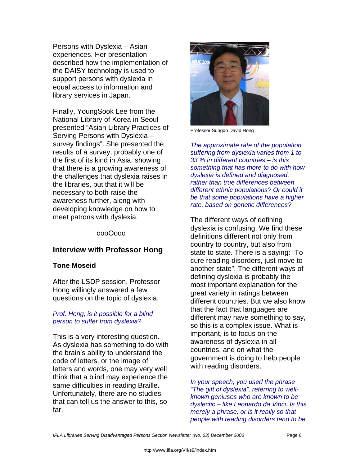Persons with Dyslexia – Asian experiences. Her presentation described how the implementation of the DAISY technology is used to support persons with dyslexia in equal access to information and library services in Japan.

Finally, YoungSook Lee from the National Library of Korea in Seoul presented "Asian Library Practices of Serving Persons with Dyslexia – survey findings". She presented the results of a survey, probably one of the first of its kind in Asia, showing that there is a growing awareness of the challenges that dyslexia raises in the libraries, but that it will be necessary to both raise the awareness further, along with developing knowledge on how to meet patrons with dyslexia.

#### oooOooo

# **Interview with Professor Hong**

# **Tone Moseid**

After the LSDP session, Professor Hong willingly answered a few questions on the topic of dyslexia.

#### *Prof. Hong, is it possible for a blind person to suffer from dyslexia?*

This is a very interesting question. As dyslexia has something to do with the brain's ability to understand the code of letters, or the image of letters and words, one may very well think that a blind may experience the same difficulties in reading Braille. Unfortunately, there are no studies that can tell us the answer to this, so far.



Professor Sungdo David Hong

*The approximate rate of the population suffering from dyslexia varies from 1 to 33 % in different countries – is this something that has more to do with how dyslexia is defined and diagnosed, rather than true differences between different ethnic populations? Or could it be that some populations have a higher rate, based on genetic differences?* 

The different ways of defining dyslexia is confusing. We find these definitions different not only from country to country, but also from state to state. There is a saying: "To cure reading disorders, just move to another state". The different ways of defining dyslexia is probably the most important explanation for the great variety in ratings between different countries. But we also know that the fact that languages are different may have something to say, so this is a complex issue. What is important, is to focus on the awareness of dyslexia in all countries, and on what the government is doing to help people with reading disorders.

*In your speech, you used the phrase "The gift of dyslexia", referring to wellknown geniuses who are known to be dyslectic – like Leonardo da Vinci. Is this merely a phrase, or is it really so that people with reading disorders tend to be*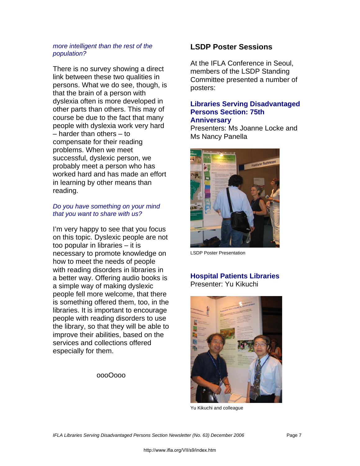## *more intelligent than the rest of the population?*

There is no survey showing a direct link between these two qualities in persons. What we do see, though, is that the brain of a person with dyslexia often is more developed in other parts than others. This may of course be due to the fact that many people with dyslexia work very hard – harder than others – to compensate for their reading problems. When we meet successful, dyslexic person, we probably meet a person who has worked hard and has made an effort in learning by other means than reading.

## *Do you have something on your mind that you want to share with us?*

I'm very happy to see that you focus on this topic. Dyslexic people are not too popular in libraries – it is necessary to promote knowledge on how to meet the needs of people with reading disorders in libraries in a better way. Offering audio books is a simple way of making dyslexic people fell more welcome, that there is something offered them, too, in the libraries. It is important to encourage people with reading disorders to use the library, so that they will be able to improve their abilities, based on the services and collections offered especially for them.

oooOooo

# **LSDP Poster Sessions**

At the IFLA Conference in Seoul, members of the LSDP Standing Committee presented a number of posters:

# **Libraries Serving Disadvantaged Persons Section: 75th Anniversary**

Presenters: Ms Joanne Locke and Ms Nancy Panella



LSDP Poster Presentation

# **Hospital Patients Libraries**  Presenter: Yu Kikuchi



Yu Kikuchi and colleague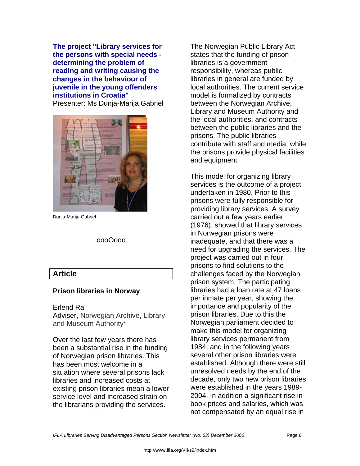**The project "Library services for the persons with special needs determining the problem of reading and writing causing the changes in the behaviour of juvenile in the young offenders institutions in Croatia"** Presenter: Ms Dunja-Marija Gabriel



Dunja-Marija Gabriel

oooOooo

# **Article**

#### **Prison libraries in Norway**

#### Erlend Ra

Adviser, Norwegian Archive, Library and Museum Authority\*

Over the last few years there has been a substantial rise in the funding of Norwegian prison libraries. This has been most welcome in a situation where several prisons lack libraries and increased costs at existing prison libraries mean a lower service level and increased strain on the librarians providing the services.

The Norwegian Public Library Act states that the funding of prison libraries is a government responsibility, whereas public libraries in general are funded by local authorities. The current service model is formalized by contracts between the Norwegian Archive, Library and Museum Authority and the local authorities, and contracts between the public libraries and the prisons. The public libraries contribute with staff and media, while the prisons provide physical facilities and equipment.

This model for organizing library services is the outcome of a project undertaken in 1980. Prior to this prisons were fully responsible for providing library services. A survey carried out a few years earlier (1976), showed that library services in Norwegian prisons were inadequate, and that there was a need for upgrading the services. The project was carried out in four prisons to find solutions to the challenges faced by the Norwegian prison system. The participating libraries had a loan rate at 47 loans per inmate per year, showing the importance and popularity of the prison libraries. Due to this the Norwegian parliament decided to make this model for organizing library services permanent from 1984, and in the following years several other prison libraries were established. Although there were still unresolved needs by the end of the decade, only two new prison libraries were established in the years 1989- 2004. In addition a significant rise in book prices and salaries, which was not compensated by an equal rise in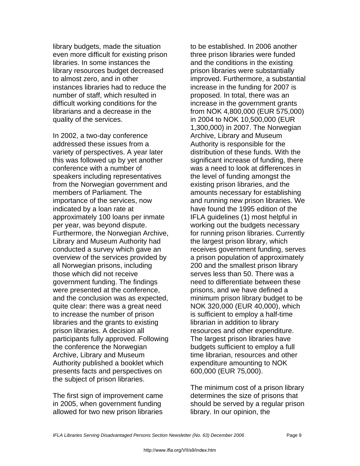library budgets, made the situation even more difficult for existing prison libraries. In some instances the library resources budget decreased to almost zero, and in other instances libraries had to reduce the number of staff, which resulted in difficult working conditions for the librarians and a decrease in the quality of the services.

In 2002, a two-day conference addressed these issues from a variety of perspectives. A year later this was followed up by yet another conference with a number of speakers including representatives from the Norwegian government and members of Parliament. The importance of the services, now indicated by a loan rate at approximately 100 loans per inmate per year, was beyond dispute. Furthermore, the Norwegian Archive, Library and Museum Authority had conducted a survey which gave an overview of the services provided by all Norwegian prisons, including those which did not receive government funding. The findings were presented at the conference, and the conclusion was as expected, quite clear: there was a great need to increase the number of prison libraries and the grants to existing prison libraries. A decision all participants fully approved. Following the conference the Norwegian Archive, Library and Museum Authority published a booklet which presents facts and perspectives on the subject of prison libraries.

The first sign of improvement came in 2005, when government funding allowed for two new prison libraries

to be established. In 2006 another three prison libraries were funded and the conditions in the existing prison libraries were substantially improved. Furthermore, a substantial increase in the funding for 2007 is proposed. In total, there was an increase in the government grants from NOK 4,800,000 (EUR 575,000) in 2004 to NOK 10,500,000 (EUR 1,300,000) in 2007. The Norwegian Archive, Library and Museum Authority is responsible for the distribution of these funds. With the significant increase of funding, there was a need to look at differences in the level of funding amongst the existing prison libraries, and the amounts necessary for establishing and running new prison libraries. We have found the 1995 edition of the IFLA guidelines (1) most helpful in working out the budgets necessary for running prison libraries. Currently the largest prison library, which receives government funding, serves a prison population of approximately 200 and the smallest prison library serves less than 50. There was a need to differentiate between these prisons, and we have defined a minimum prison library budget to be NOK 320,000 (EUR 40,000), which is sufficient to employ a half-time librarian in addition to library resources and other expenditure. The largest prison libraries have budgets sufficient to employ a full time librarian, resources and other expenditure amounting to NOK 600,000 (EUR 75,000).

The minimum cost of a prison library determines the size of prisons that should be served by a regular prison library. In our opinion, the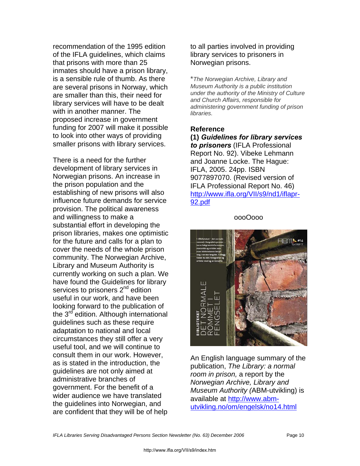recommendation of the 1995 edition of the IFLA guidelines, which claims that prisons with more than 25 inmates should have a prison library, is a sensible rule of thumb. As there are several prisons in Norway, which are smaller than this, their need for library services will have to be dealt with in another manner. The proposed increase in government funding for 2007 will make it possible to look into other ways of providing smaller prisons with library services.

There is a need for the further development of library services in Norwegian prisons. An increase in the prison population and the establishing of new prisons will also influence future demands for service provision. The political awareness and willingness to make a substantial effort in developing the prison libraries, makes one optimistic for the future and calls for a plan to cover the needs of the whole prison community. The Norwegian Archive, Library and Museum Authority is currently working on such a plan. We have found the Guidelines for library services to prisoners 2<sup>nd</sup> edition useful in our work, and have been looking forward to the publication of the 3<sup>rd</sup> edition. Although international guidelines such as these require adaptation to national and local circumstances they still offer a very useful tool, and we will continue to consult them in our work. However, as is stated in the introduction, the guidelines are not only aimed at administrative branches of government. For the benefit of a wider audience we have translated the guidelines into Norwegian, and are confident that they will be of help

to all parties involved in providing library services to prisoners in Norwegian prisons.

\**The Norwegian Archive, Library and Museum Authority is a public institution under the authority of the Ministry of Culture and Church Affairs, responsible for administering government funding of prison libraries.*

## **Reference**

**(1)** *[Guidelines for library services](http://www.ifla.org/VII/s9/nd1/iflapr-92.pdf)  [to prisoners](http://www.ifla.org/VII/s9/nd1/iflapr-92.pdf)* (IFLA Professional Report No. 92). Vibeke Lehmann and Joanne Locke. The Hague: IFLA, 2005. 24pp. ISBN 9077897070. (Revised version of IFLA Professional Report No. 46) [http://www.ifla.org/VII/s9/nd1/iflapr-](http://www.ifla.org/VII/s9/nd1/iflapr-92.pdf)[92.pdf](http://www.ifla.org/VII/s9/nd1/iflapr-92.pdf)

#### oooOooo



An English language summary of the publication, *The Library: a normal room in prison,* a report by the *Norwegian Archive, Library and Museum Authority (*ABM-utvikling) is available at [http://www.abm](http://www.abm-utvikling.no/om/engelsk/no14.html)[utvikling.no/om/engelsk/no14.html](http://www.abm-utvikling.no/om/engelsk/no14.html)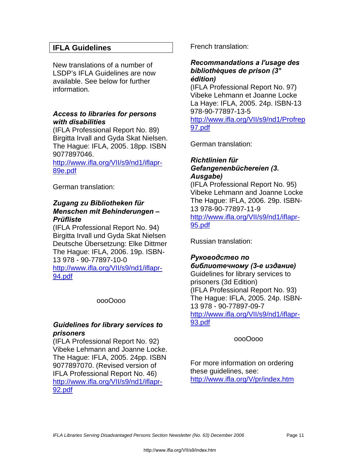# **IFLA Guidelines**

New translations of a number of LSDP's IFLA Guidelines are now available. See below for further information.

# *Access to libraries for persons with disabilities*

(IFLA Professional Report No. 89) Birgitta Irvall and Gyda Skat Nielsen. The Hague: IFLA, 2005. 18pp. ISBN 9077897046.

[http://www.ifla.org/VII/s9/nd1/iflapr-](http://www.ifla.org/VII/s9/nd1/iflapr-89e.pdf)[89e.pdf](http://www.ifla.org/VII/s9/nd1/iflapr-89e.pdf)

German translation:

# *Zugang zu Bibliotheken für Menschen mit Behinderungen – Prüfliste*

(IFLA Professional Report No. 94) Birgitta Irvall und Gyda Skat Nielsen Deutsche Übersetzung: Elke Dittmer The Hague: IFLA, 2006. 19p. ISBN-13 978 - 90-77897-10-0

[http://www.ifla.org/VII/s9/nd1/iflapr-](http://www.ifla.org/VII/s9/nd1/iflapr-94.pdf)[94.pdf](http://www.ifla.org/VII/s9/nd1/iflapr-94.pdf)

# oooOooo

# *[Guidelines for library services to](http://www.ifla.org/VII/s9/nd1/iflapr-92.pdf)  [prisoners](http://www.ifla.org/VII/s9/nd1/iflapr-92.pdf)*

(IFLA Professional Report No. 92) Vibeke Lehmann and Joanne Locke. The Hague: IFLA, 2005. 24pp. ISBN 9077897070. (Revised version of IFLA Professional Report No. 46) [http://www.ifla.org/VII/s9/nd1/iflapr-](http://www.ifla.org/VII/s9/nd1/iflapr-92.pdf)[92.pdf](http://www.ifla.org/VII/s9/nd1/iflapr-92.pdf)

French translation:

# *Recommandations a l'usage des bibliothèques de prison (3° édition)*

(IFLA Professional Report No. 97) Vibeke Lehmann et Joanne Locke La Haye: IFLA, 2005. 24p. ISBN-13 978-90-77897-13-5 [http://www.ifla.org/VII/s9/nd1/Profrep](http://www.ifla.org/VII/s9/nd1/Profrep97.pdf) [97.pdf](http://www.ifla.org/VII/s9/nd1/Profrep97.pdf)

German translation:

# *Richtlinien für Gefangenenbüchereien (3. Ausgabe)*

(IFLA Professional Report No. 95) Vibeke Lehmann and Joanne Locke The Hague: IFLA, 2006. 29p. ISBN-13 978-90-77897-11-9 [http://www.ifla.org/VII/s9/nd1/iflapr-](http://www.ifla.org/VII/s9/nd1/iflapr-95.pdf)[95.pdf](http://www.ifla.org/VII/s9/nd1/iflapr-95.pdf)

Russian translation:

# *Руководство по*

*библиотечному (3-е издание)*  Guidelines for library services to prisoners (3d Edition) (IFLA Professional Report No. 93) The Hague: IFLA, 2005. 24p. ISBN-13 978 - 90-77897-09-7 [http://www.ifla.org/VII/s9/nd1/iflapr-](http://www.ifla.org/VII/s9/nd1/iflapr-93.pdf)[93.pdf](http://www.ifla.org/VII/s9/nd1/iflapr-93.pdf)

oooOooo

For more information on ordering these guidelines, see: <http://www.ifla.org/V/pr/index.htm>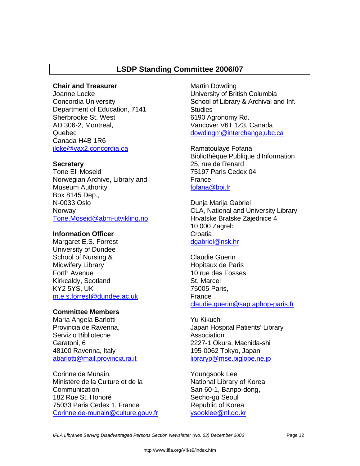# **LSDP Standing Committee 2006/07**

# **Chair and Treasurer**

Joanne Locke Concordia University Department of Education, 7141 Sherbrooke St. West AD 306-2, Montreal, Quebec Canada H4B 1R6 [jloke@vax2.concordia.ca](mailto:jloke@vax2.concordia.ca)

# **Secretary**

Tone Eli Moseid Norwegian Archive, Library and Museum Authority Box 8145 Dep., N-0033 Oslo Norway [Tone.Moseid@abm-utvikling.no](mailto:Tone.Moseid@abm-utvikling.no)

# **Information Officer**

Margaret E.S. Forrest University of Dundee School of Nursing & Midwifery Library Forth Avenue Kirkcaldy, Scotland KY2 5YS, UK [m.e.s.forrest@dundee.ac.uk](mailto:m.e.s.forrest@dundee.ac.uk)

# **Committee Members**

Maria Angela Barlotti Provincia de Ravenna, Servizio Biblioteche Garatoni, 6 48100 Ravenna, Italy [abarlotti@mail.provincia.ra.it](mailto:abarlotti@mail.provincia.ra.it)

Corinne de Munain, Ministère de la Culture et de la Communication 182 Rue St. Honoré 75033 Paris Cedex 1, France [Corinne.de-munain@culture.gouv.fr](mailto:Corinne.de-murain@culture.gouv.fr) Martin Dowding University of British Columbia School of Library & Archival and Inf. **Studies** 6190 Agronomy Rd. Vancover V6T 1Z3, Canada [dowdingm@interchange,ubc.ca](mailto:dowdingm@interchange,ubc.ca)

Ramatoulaye Fofana Bibliothèque Publique d'Information 25, rue de Renard 75197 Paris Cedex 04 France [fofana@bpi.fr](mailto:fofana@bpi.fr)

Dunja Marija Gabriel CLA, National and University Library Hrvatske Bratske Zajednice 4 10 000 Zagreb **Croatia** [dgabriel@nsk.hr](mailto:dgabriel@nsk.hr)

Claudie Guerin Hopitaux de Paris 10 rue des Fosses St. Marcel 75005 Paris, France [claudie.guerin@sap.aphop-paris.fr](mailto:claudie.guerin@sap.aphop-paris.fr)

Yu Kikuchi Japan Hospital Patients' Library **Association** 2227-1 Okura, Machida-shi 195-0062 Tokyo, Japan [libraryp@mse.biglobe.ne.jp](mailto:libraryp@mse.biglobe.ne.jp)

Youngsook Lee National Library of Korea San 60-1, Banpo-dong, Secho-gu Seoul Republic of Korea [ysooklee@nl.go.kr](mailto:ysooklee@nl.go.kr)

*IFLA Libraries Serving Disadvantaged Persons Section Newsletter (No. 63) December 2006* Page 12